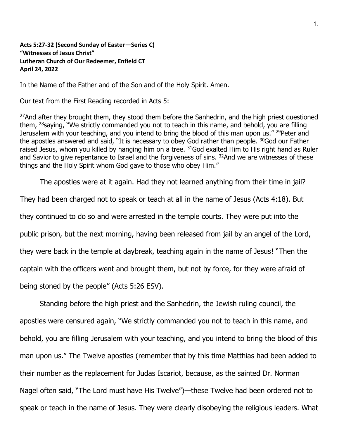**Acts 5:27-32 (Second Sunday of Easter—Series C) "Witnesses of Jesus Christ" Lutheran Church of Our Redeemer, Enfield CT April 24, 2022**

In the Name of the Father and of the Son and of the Holy Spirit. Amen.

Our text from the First Reading recorded in Acts 5:

<sup>27</sup>And after they brought them, they stood them before the Sanhedrin, and the high priest questioned them,  $^{28}$ saying, "We strictly commanded you not to teach in this name, and behold, you are filling Jerusalem with your teaching, and you intend to bring the blood of this man upon us." <sup>29</sup>Peter and the apostles answered and said, "It is necessary to obey God rather than people. <sup>30</sup>God our Father raised Jesus, whom you killed by hanging him on a tree. <sup>31</sup>God exalted Him to His right hand as Ruler and Savior to give repentance to Israel and the forgiveness of sins. <sup>32</sup>And we are witnesses of these things and the Holy Spirit whom God gave to those who obey Him."

The apostles were at it again. Had they not learned anything from their time in jail?

They had been charged not to speak or teach at all in the name of Jesus (Acts 4:18). But they continued to do so and were arrested in the temple courts. They were put into the public prison, but the next morning, having been released from jail by an angel of the Lord, they were back in the temple at daybreak, teaching again in the name of Jesus! "Then the captain with the officers went and brought them, but not by force, for they were afraid of being stoned by the people" (Acts 5:26 ESV).

Standing before the high priest and the Sanhedrin, the Jewish ruling council, the apostles were censured again, "We strictly commanded you not to teach in this name, and behold, you are filling Jerusalem with your teaching, and you intend to bring the blood of this man upon us." The Twelve apostles (remember that by this time Matthias had been added to their number as the replacement for Judas Iscariot, because, as the sainted Dr. Norman Nagel often said, "The Lord must have His Twelve")—these Twelve had been ordered not to speak or teach in the name of Jesus. They were clearly disobeying the religious leaders. What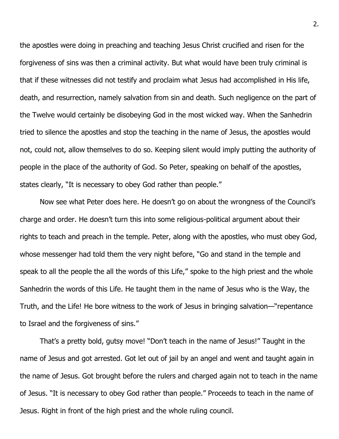the apostles were doing in preaching and teaching Jesus Christ crucified and risen for the forgiveness of sins was then a criminal activity. But what would have been truly criminal is that if these witnesses did not testify and proclaim what Jesus had accomplished in His life, death, and resurrection, namely salvation from sin and death. Such negligence on the part of the Twelve would certainly be disobeying God in the most wicked way. When the Sanhedrin tried to silence the apostles and stop the teaching in the name of Jesus, the apostles would not, could not, allow themselves to do so. Keeping silent would imply putting the authority of people in the place of the authority of God. So Peter, speaking on behalf of the apostles, states clearly, "It is necessary to obey God rather than people."

Now see what Peter does here. He doesn't go on about the wrongness of the Council's charge and order. He doesn't turn this into some religious-political argument about their rights to teach and preach in the temple. Peter, along with the apostles, who must obey God, whose messenger had told them the very night before, "Go and stand in the temple and speak to all the people the all the words of this Life," spoke to the high priest and the whole Sanhedrin the words of this Life. He taught them in the name of Jesus who is the Way, the Truth, and the Life! He bore witness to the work of Jesus in bringing salvation—"repentance to Israel and the forgiveness of sins."

That's a pretty bold, gutsy move! "Don't teach in the name of Jesus!" Taught in the name of Jesus and got arrested. Got let out of jail by an angel and went and taught again in the name of Jesus. Got brought before the rulers and charged again not to teach in the name of Jesus. "It is necessary to obey God rather than people." Proceeds to teach in the name of Jesus. Right in front of the high priest and the whole ruling council.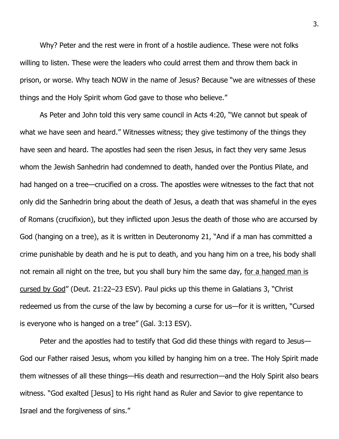Why? Peter and the rest were in front of a hostile audience. These were not folks willing to listen. These were the leaders who could arrest them and throw them back in prison, or worse. Why teach NOW in the name of Jesus? Because "we are witnesses of these things and the Holy Spirit whom God gave to those who believe."

As Peter and John told this very same council in Acts 4:20, "We cannot but speak of what we have seen and heard." Witnesses witness; they give testimony of the things they have seen and heard. The apostles had seen the risen Jesus, in fact they very same Jesus whom the Jewish Sanhedrin had condemned to death, handed over the Pontius Pilate, and had hanged on a tree—crucified on a cross. The apostles were witnesses to the fact that not only did the Sanhedrin bring about the death of Jesus, a death that was shameful in the eyes of Romans (crucifixion), but they inflicted upon Jesus the death of those who are accursed by God (hanging on a tree), as it is written in Deuteronomy 21, "And if a man has committed a crime punishable by death and he is put to death, and you hang him on a tree, his body shall not remain all night on the tree, but you shall bury him the same day, for a hanged man is cursed by God" (Deut. 21:22–23 ESV). Paul picks up this theme in Galatians 3, "Christ redeemed us from the curse of the law by becoming a curse for us—for it is written, "Cursed is everyone who is hanged on a tree" (Gal. 3:13 ESV).

Peter and the apostles had to testify that God did these things with regard to Jesus— God our Father raised Jesus, whom you killed by hanging him on a tree. The Holy Spirit made them witnesses of all these things—His death and resurrection—and the Holy Spirit also bears witness. "God exalted [Jesus] to His right hand as Ruler and Savior to give repentance to Israel and the forgiveness of sins."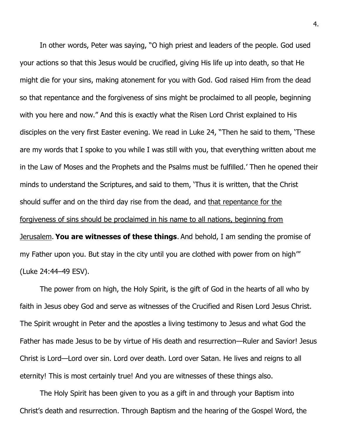In other words, Peter was saying, "O high priest and leaders of the people. God used your actions so that this Jesus would be crucified, giving His life up into death, so that He might die for your sins, making atonement for you with God. God raised Him from the dead so that repentance and the forgiveness of sins might be proclaimed to all people, beginning with you here and now." And this is exactly what the Risen Lord Christ explained to His disciples on the very first Easter evening. We read in Luke 24, "Then he said to them, 'These are my words that I spoke to you while I was still with you, that everything written about me in the Law of Moses and the Prophets and the Psalms must be fulfilled.' Then he opened their minds to understand the Scriptures, and said to them, 'Thus it is written, that the Christ should suffer and on the third day rise from the dead,and that repentance for the forgiveness of sins should be proclaimed in his name to all nations, beginning from Jerusalem. **You are witnesses of these things**. And behold, I am sending the promise of my Father upon you. But stay in the city until you are clothed with power from on high'" (Luke 24:44–49 ESV).

The power from on high, the Holy Spirit, is the gift of God in the hearts of all who by faith in Jesus obey God and serve as witnesses of the Crucified and Risen Lord Jesus Christ. The Spirit wrought in Peter and the apostles a living testimony to Jesus and what God the Father has made Jesus to be by virtue of His death and resurrection—Ruler and Savior! Jesus Christ is Lord—Lord over sin. Lord over death. Lord over Satan. He lives and reigns to all eternity! This is most certainly true! And you are witnesses of these things also.

The Holy Spirit has been given to you as a gift in and through your Baptism into Christ's death and resurrection. Through Baptism and the hearing of the Gospel Word, the